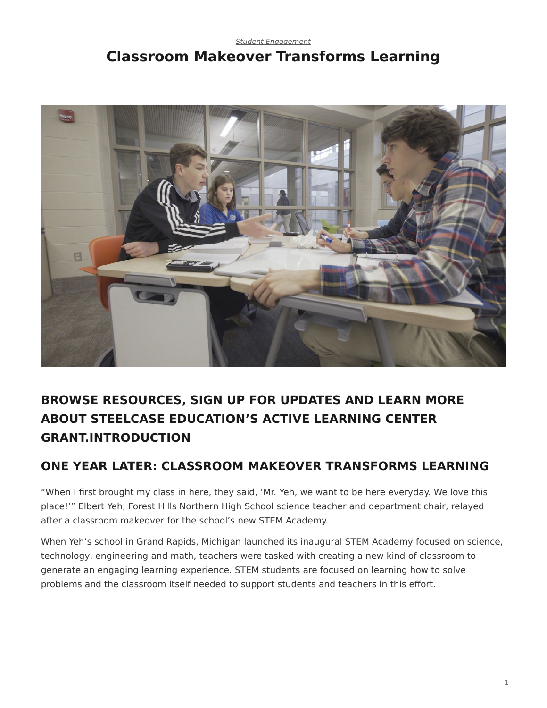#### <span id="page-0-0"></span>*[Student Engagement](https://www.steelcase.com/research/topics/student-engagement/)* **Classroom Makeover Transforms Learning**



# **BROWSE RESOURCES, SIGN UP FOR UPDATES AND LEARN MORE ABOUT STEELCASE EDUCATION'S ACTIVE LEARNING CENTER GRANT.INTRODUCTION**

# **ONE YEAR LATER: CLASSROOM MAKEOVER TRANSFORMS LEARNING**

"When I first brought my class in here, they said, 'Mr. Yeh, we want to be here everyday. We love this place!'" Elbert Yeh, Forest Hills Northern High School science teacher and department chair, relayed after a classroom makeover for the school's new STEM Academy.

When Yeh's school in Grand Rapids, Michigan launched its inaugural STEM Academy focused on science, technology, engineering and math, teachers were tasked with creating a new kind of classroom to generate an engaging learning experience. STEM students are focused on learning how to solve problems and the classroom itself needed to support students and teachers in this effort.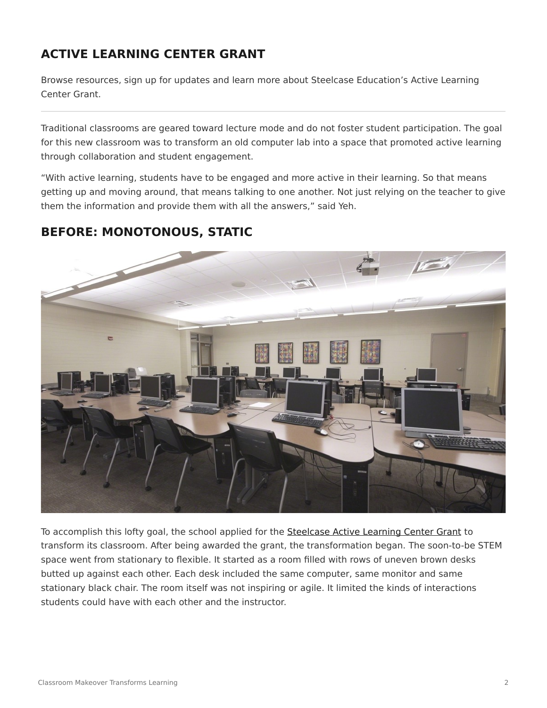## **ACTIVE LEARNING CENTER GRANT**

Browse resources, sign up for updates and learn more about Steelcase Education's Active Learning Center Grant.

Traditional classrooms are geared toward lecture mode and do not foster student participation. The goal for this new classroom was to transform an old computer lab into a space that promoted active learning through collaboration and student engagement.

"With active learning, students have to be engaged and more active in their learning. So that means getting up and moving around, that means talking to one another. Not just relying on the teacher to give them the information and provide them with all the answers," said Yeh.

## **BEFORE: MONOTONOUS, STATIC**



To accomplish this lofty goal, the school applied for the [Steelcase Active Learning Center Grant](https://www.steelcase.com/discover/information/education/active-learning-center-grant/?utm_source=360research&utm_medium=blog&utm_campaign=alcgrant&utm_content=fhclassroom) to transform its classroom. After being awarded the grant, the transformation began. The soon-to-be STEM space went from stationary to flexible. It started as a room filled with rows of uneven brown desks butted up against each other. Each desk included the same computer, same monitor and same stationary black chair. The room itself was not inspiring or agile. It limited the kinds of interactions students could have with each other and the instructor.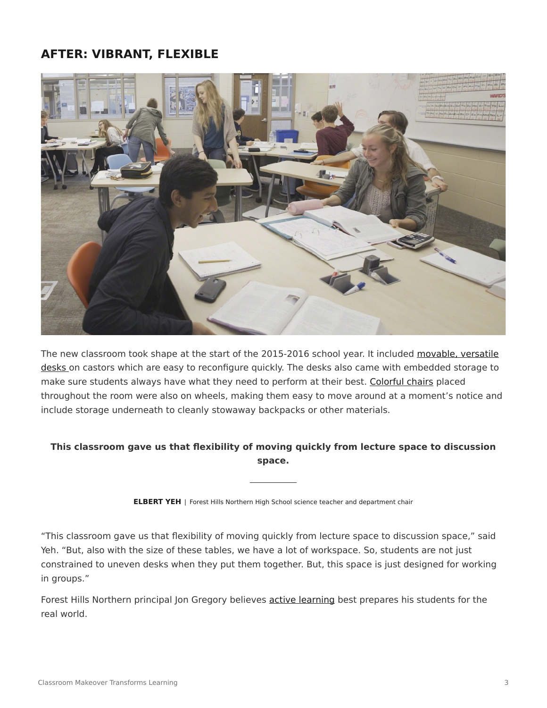#### **AFTER: VIBRANT, FLEXIBLE**



The new classroom took shape at the start of the 2015-2016 school year. It included [movable, versatile](https://www.steelcase.com/products/conference-classroom-tables/verb/) [desks](https://www.steelcase.com/products/conference-classroom-tables/verb/) on castors which are easy to reconfigure quickly. The desks also came with embedded storage to make sure students always have what they need to perform at their best. [Colorful chairs](https://www.steelcase.com/products/collaborative-chairs/node/) placed throughout the room were also on wheels, making them easy to move around at a moment's notice and include storage underneath to cleanly stowaway backpacks or other materials.

#### **This classroom gave us that flexibility of moving quickly from lecture space to discussion space.**

**ELBERT YEH** | Forest Hills Northern High School science teacher and department chair

"This classroom gave us that flexibility of moving quickly from lecture space to discussion space," said Yeh. "But, also with the size of these tables, we have a lot of workspace. So, students are not just constrained to uneven desks when they put them together. But, this space is just designed for working in groups."

Forest Hills Northern principal Jon Gregory believes [active learning](https://www.steelcase.com/insights/360-magazine/the-education-edition/) best prepares his students for the real world.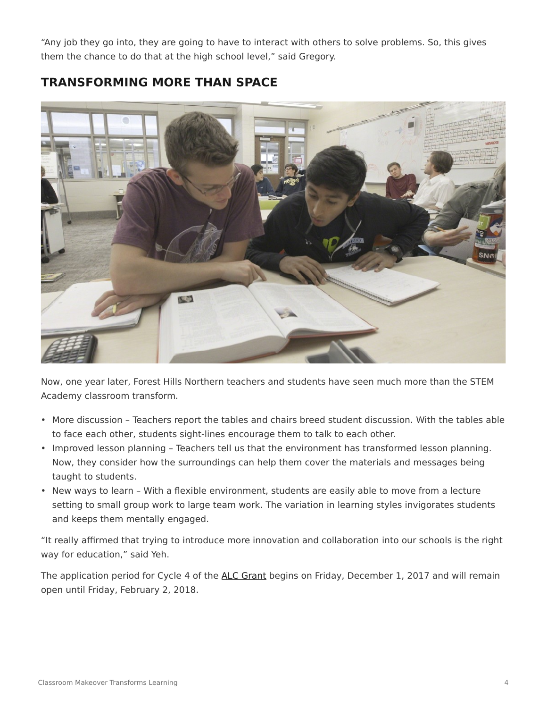"Any job they go into, they are going to have to interact with others to solve problems. So, this gives them the chance to do that at the high school level," said Gregory.

## **TRANSFORMING MORE THAN SPACE**



Now, one year later, Forest Hills Northern teachers and students have seen much more than the STEM Academy classroom transform.

- More discussion Teachers report the tables and chairs breed student discussion. With the tables able to face each other, students sight-lines encourage them to talk to each other.
- Improved lesson planning Teachers tell us that the environment has transformed lesson planning. Now, they consider how the surroundings can help them cover the materials and messages being taught to students.
- New ways to learn With a flexible environment, students are easily able to move from a lecture setting to small group work to large team work. The variation in learning styles invigorates students and keeps them mentally engaged.

"It really affirmed that trying to introduce more innovation and collaboration into our schools is the right way for education," said Yeh.

The application period for Cycle 4 of the [ALC Grant](https://www.steelcase.com/discover/information/education/active-learning-center-grant/?utm_source=360research&utm_medium=blog&utm_campaign=alcgrant&utm_content=fhclassroom) begins on Friday, December 1, 2017 and will remain open until Friday, February 2, 2018.